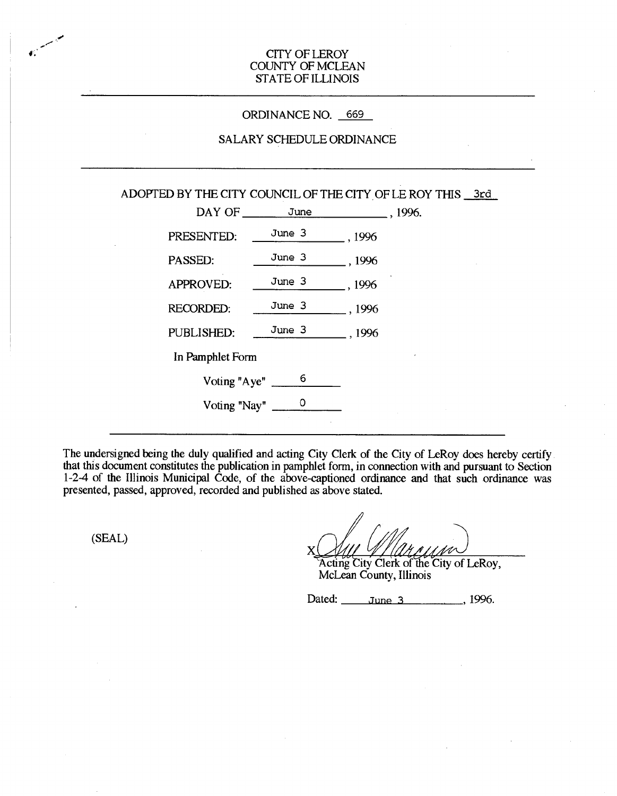# CITY OF LEROY COUNTY OF MCLEAN STATE OF ILLINOIS

### ORDINANCE NO. 669

# SALARY SCHEDULE ORDINANCE

|                                      |        | ADOPTED BY THE CITY COUNCIL OF THE CITY OF LE ROY THIS 3rd |  |
|--------------------------------------|--------|------------------------------------------------------------|--|
| DAY OF _________ June                |        | .1996.                                                     |  |
| PRESENTED:                           | June 3 | , 1996                                                     |  |
| PASSED:                              | June 3 | $_$ , 1996                                                 |  |
| APPROVED:                            | June 3 | , 1996                                                     |  |
| <b>RECORDED:</b>                     | June 3 | , 1996                                                     |  |
| PUBLISHED:                           | June 3 | .1996                                                      |  |
| In Pamphlet Form                     |        |                                                            |  |
| Voting "Aye" $\frac{1}{\sqrt{2\pi}}$ | 6      |                                                            |  |
| Voting "Nay" $\frac{0}{1}$           |        |                                                            |  |
|                                      |        |                                                            |  |

The undersigned being the duly qualified and acting City Clerk of the City of LeRoy does hereby certify that this document constitutes the publication in pamphlet form, in connection with and pursuant to Section 1-2-4 of the Illinois Municipal Code, of the above-captioned ordinance and that such ordinance was presented, passed, approved, recorded and published as above stated.

(SEAL)

i.

X Acting City Clerk of the City of LeRoy,

McLean County, Illinois

Dated: <u>June 3</u>, 1996.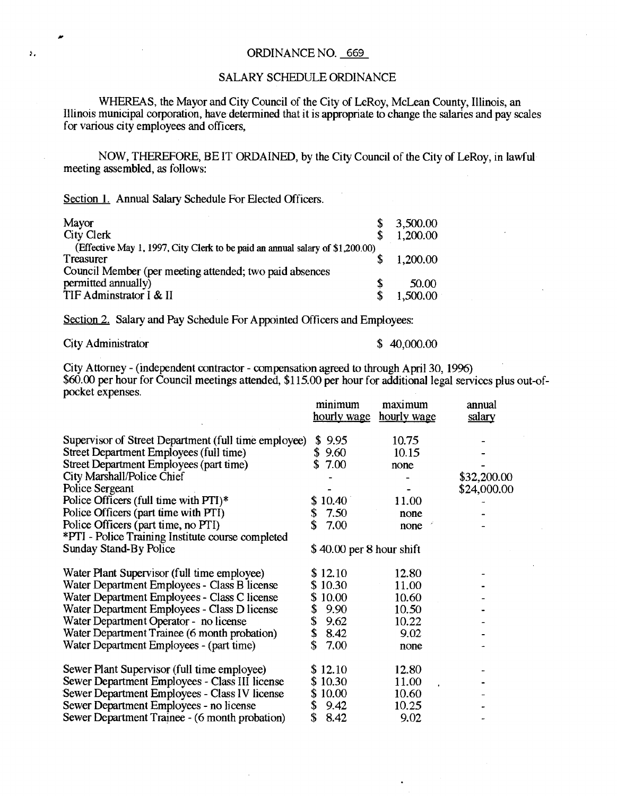#### 5, ORDINANCE NO. 669

### SALARY SCHEDULE ORDINANCE

WHEREAS, the Mayor and City Council of the City of LeRoy, McLean County, Illinois, an Illinois municipal corporation, have determined that it is appropriate to change the salaries and pay scales for various city employees and officers,

NOW, THEREFORE, BE IT ORDAINED, by the City Council of the City of LeRoy, in lawful meeting assembled, as follows:

Section 1. Annual Salary Schedule For Elected Officers.

| Mayor                                                                         |   | 3,500.00 |
|-------------------------------------------------------------------------------|---|----------|
| <b>City Clerk</b>                                                             |   | 1,200.00 |
| (Effective May 1, 1997, City Clerk to be paid an annual salary of \$1,200.00) |   |          |
| Treasurer                                                                     |   | 1,200.00 |
| Council Member (per meeting attended; two paid absences                       |   |          |
| permitted annually)                                                           | S | 50.00    |
| TIF Adminstrator I & II                                                       |   | 1,500.00 |

Section 2. Salary and Pay Schedule For Appointed Officers and Employees:

City Administrator \$40,000.00

City Attorney - (independent contractor - compensation agreed to through April 30, 1996) \$60.00 per hour for Council meetings attended, \$115.00 per hour for additional legal services plus out-ofpocket expenses.

|                                                      |                           | minimum<br>hourly wage | maximum<br><u>hourly wage</u> | annual<br>salary |
|------------------------------------------------------|---------------------------|------------------------|-------------------------------|------------------|
| Supervisor of Street Department (full time employee) |                           | \$9.95                 | 10.75                         |                  |
| Street Department Employees (full time)              | S                         | 9.60                   | 10.15                         |                  |
| Street Department Employees (part time)              |                           | 7.00                   | none                          |                  |
| City Marshall/Police Chief                           |                           |                        |                               | \$32,200.00      |
| Police Sergeant                                      |                           |                        |                               | \$24,000.00      |
| Police Officers (full time with PTI)*                |                           | 10.40                  | 11.00                         |                  |
| Police Officers (part time with PTI)                 | \$                        | 7.50                   | none                          |                  |
| Police Officers (part time, no PTI)                  | \$                        | 7.00                   | none                          |                  |
| *PTI - Police Training Institute course completed    |                           |                        |                               |                  |
| <b>Sunday Stand-By Police</b>                        | $$40.00$ per 8 hour shift |                        |                               |                  |
| Water Plant Supervisor (full time employee)          |                           | \$12.10                | 12.80                         |                  |
| Water Department Employees - Class B license         |                           | \$10.30                | 11.00                         |                  |
| Water Department Employees - Class C license         | \$                        | 10.00                  | 10.60                         |                  |
| Water Department Employees - Class D license         | \$                        | 9.90                   | 10.50                         |                  |
| Water Department Operator - no license               | \$                        | 9.62                   | 10.22                         |                  |
| Water Department Trainee (6 month probation)         | \$                        | 8.42                   | 9.02                          |                  |
| Water Department Employees - (part time)             | \$                        | 7.00                   | none                          |                  |
| Sewer Plant Supervisor (full time employee)          |                           | \$12.10                | 12.80                         |                  |
| Sewer Department Employees - Class III license       |                           | \$10.30                | 11.00                         |                  |
| Sewer Department Employees - Class IV license        |                           | 10.00                  | 10.60                         |                  |
| Sewer Department Employees - no license              | \$                        | 9.42                   | 10.25                         |                  |
| Sewer Department Trainee - (6 month probation)       | \$                        | 8.42                   | 9.02                          |                  |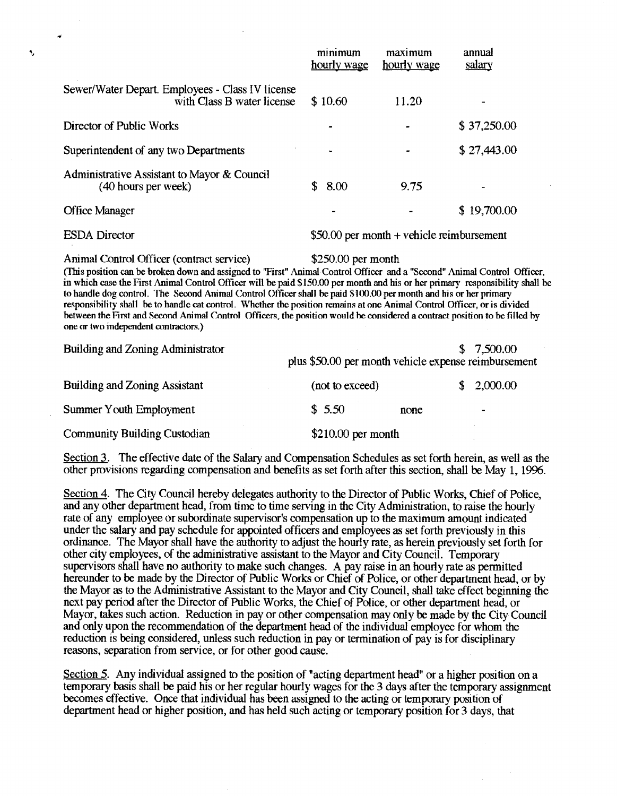|                                                                                                                                                                                                                                                                                                                                                                                                                                                                                                                                                                                                                                                                                                                             | minimum<br>hourly wage                               | maximum<br>hourly wage                     | annual<br>salary |  |  |  |
|-----------------------------------------------------------------------------------------------------------------------------------------------------------------------------------------------------------------------------------------------------------------------------------------------------------------------------------------------------------------------------------------------------------------------------------------------------------------------------------------------------------------------------------------------------------------------------------------------------------------------------------------------------------------------------------------------------------------------------|------------------------------------------------------|--------------------------------------------|------------------|--|--|--|
| Sewer/Water Depart. Employees - Class IV license<br>with Class B water license                                                                                                                                                                                                                                                                                                                                                                                                                                                                                                                                                                                                                                              | \$10.60                                              | 11.20                                      |                  |  |  |  |
| Director of Public Works                                                                                                                                                                                                                                                                                                                                                                                                                                                                                                                                                                                                                                                                                                    |                                                      |                                            | \$37,250.00      |  |  |  |
| Superintendent of any two Departments                                                                                                                                                                                                                                                                                                                                                                                                                                                                                                                                                                                                                                                                                       |                                                      |                                            | \$27,443.00      |  |  |  |
| Administrative Assistant to Mayor & Council<br>(40 hours per week)                                                                                                                                                                                                                                                                                                                                                                                                                                                                                                                                                                                                                                                          | \$<br>8.00                                           | 9.75                                       |                  |  |  |  |
| <b>Office Manager</b>                                                                                                                                                                                                                                                                                                                                                                                                                                                                                                                                                                                                                                                                                                       |                                                      |                                            | \$19,700.00      |  |  |  |
| <b>ESDA</b> Director                                                                                                                                                                                                                                                                                                                                                                                                                                                                                                                                                                                                                                                                                                        |                                                      | $$50.00$ per month + vehicle reimbursement |                  |  |  |  |
| Animal Control Officer (contract service)<br>(This position can be broken down and assigned to "First" Animal Control Officer and a "Second" Animal Control Officer,<br>in which case the First Animal Control Officer will be paid \$150.00 per month and his or her primary responsibility shall be<br>to handle dog control. The Second Animal Control Officer shall be paid \$100.00 per month and his or her primary<br>responsibility shall be to handle cat control. Whether the position remains at one Animal Control Officer, or is divided<br>between the First and Second Animal Control Officers, the position would be considered a contract position to be filled by<br>one or two independent contractors.) | \$250.00 per month                                   |                                            |                  |  |  |  |
| Building and Zoning Administrator                                                                                                                                                                                                                                                                                                                                                                                                                                                                                                                                                                                                                                                                                           | plus \$50.00 per month vehicle expense reimbursement |                                            | 7,500.00<br>S    |  |  |  |
| <b>Building and Zoning Assistant</b>                                                                                                                                                                                                                                                                                                                                                                                                                                                                                                                                                                                                                                                                                        | (not to exceed)                                      |                                            | 2,000.00<br>\$   |  |  |  |
| Summer Youth Employment                                                                                                                                                                                                                                                                                                                                                                                                                                                                                                                                                                                                                                                                                                     | \$5.50                                               | none                                       |                  |  |  |  |
| <b>Community Building Custodian</b>                                                                                                                                                                                                                                                                                                                                                                                                                                                                                                                                                                                                                                                                                         | $$210.00$ per month                                  |                                            |                  |  |  |  |

Section 3. The effective date of the Salary and Compensation Schedules as set forth herein, as well as the other provisions regarding compensation and benefits as set forth after this section, shall be May 1, 1996.

Section 4. The City Council hereby delegates authority to the Director of Public Works, Chief of Police, and any other department head, from time to time serving in the City Administration, to raise the hourly rate of any employee or subordinate supervisor's compensation up to the maximum amount indicated under the salary and pay schedule for appointed officers and employees as set forth previously in this ordinance. The Mayor shall have the authority to adjust the hourly rate, as herein previously set forth for other city employees, of the administrative assistant to the Mayor and City Council. Temporary supervisors shall have no authority to make such changes. A pay raise in an hourly rate as permitted hereunder to be made by the Director of Public Works or Chief of Police, or other department head, or by the Mayor as to the Administrative Assistant to the Mayor and City Council, shall take effect beginning the next pay period after the Director of Public Works, the Chief of Police, or other department head, or Mayor, takes such action. Reduction in pay or other compensation may only be made by the City Council and only upon the recommendation of the department head of the individual employee for whom the reduction is being considered, unless such reduction in pay or termination of pay is for disciplinary reasons, separation from service, or for other good cause.

Section 5. Any individual assigned to the position of "acting department head" or a higher position on a temporary basis shall be paid his or her regular hourly wages for the 3 days after the temporary assignment becomes effective. Once that individual has been assigned to the acting or temporary position of department head or higher position, and has held such acting or temporary position for 3 days, that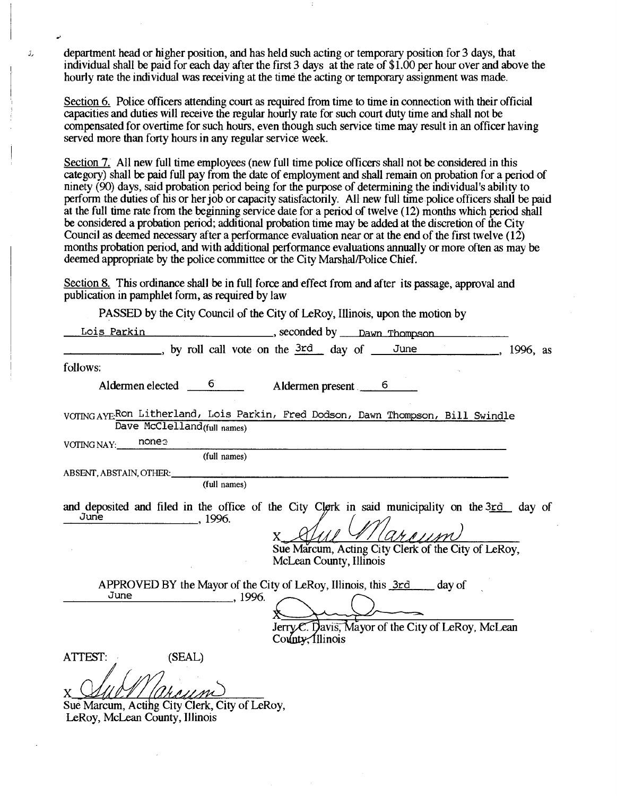department head or higher position, and has held such acting or temporary position for 3 days, that individual shall be paid for each day after the first 3 days at the rate of \$1.00 per hour over and above the hourly rate the individual was receiving at the time the acting or temporary assignment was made.

رڙ

Section 6. Police officers attending court as required from time to time in connection with their official capacities and duties will receive the regular hourly rate for such court duty time and shall not be compensated for overtime for such hours, even though such service time may result in an officer having served more than forty hours in any regular service week.

Section 7. All new full time employees (new full time police officers shall not be considered in this category) shall be paid full pay from the date of employment and shall remain on probation for a period of ninety (90) days, said probation period being for the purpose of determining the individual's ability to perform the duties of his or her job or capacity satisfactorily. All new full time police officers shall be paid at the full time rate from the beginning service date for a period of twelve (12) months which period shall be considered a probation period; additional probation time may be added at the discretion of the City Council as deemed necessary after a performance evaluation near or at the end of the first twelve (12) months probation period, and with additional performance evaluations annually or more often as may be deemed appropriate by the police committee or the City Marshal/Police Chief.

Section S. This ordinance shall be in full force and effect from and after its passage, approval and publication in pamphlet form, as required by law

PASSED by the City Council of the City of LeRoy, Illinois, upon the motion by

| <u>Lois Parkin</u>                                                                                   | seconded by <u>Dawn Thompson</u>                                                                                                                                                 |
|------------------------------------------------------------------------------------------------------|----------------------------------------------------------------------------------------------------------------------------------------------------------------------------------|
|                                                                                                      | by roll call vote on the 3rd day of June<br><sub>-</sub> , 1996, as                                                                                                              |
| follows:                                                                                             |                                                                                                                                                                                  |
| Aldermen elected $\frac{6}{1}$                                                                       | Aldermen present 6                                                                                                                                                               |
| Dave McClelland(full names)                                                                          | VOTING AYEROn Litherland, Lois Parkin, Fred Dodson, Dawn Thompson, Bill Swindle                                                                                                  |
| nones<br>VOTING NAY:                                                                                 |                                                                                                                                                                                  |
| (full names)                                                                                         |                                                                                                                                                                                  |
| ABSENT, ABSTAIN, OTHER:<br>(full names)                                                              |                                                                                                                                                                                  |
| June<br>. 1996.                                                                                      | and deposited and filed in the office of the City Clerk in said municipality on the 3rd day of<br>Sue Marcum, Acting City Clerk of the City of LeRoy,<br>McLean County, Illinois |
| June<br>., 1996.                                                                                     | APPROVED BY the Mayor of the City of LeRoy, Illinois, this 3rd ___ day of<br>Jerry C. Davis, Mayor of the City of LeRoy, McLean<br>County, Illinois                              |
| (SEAL)<br>ATTEST:<br>Sue Marcum, Acting City Clerk, City of LeRoy,<br>LeRoy, McLean County, Illinois |                                                                                                                                                                                  |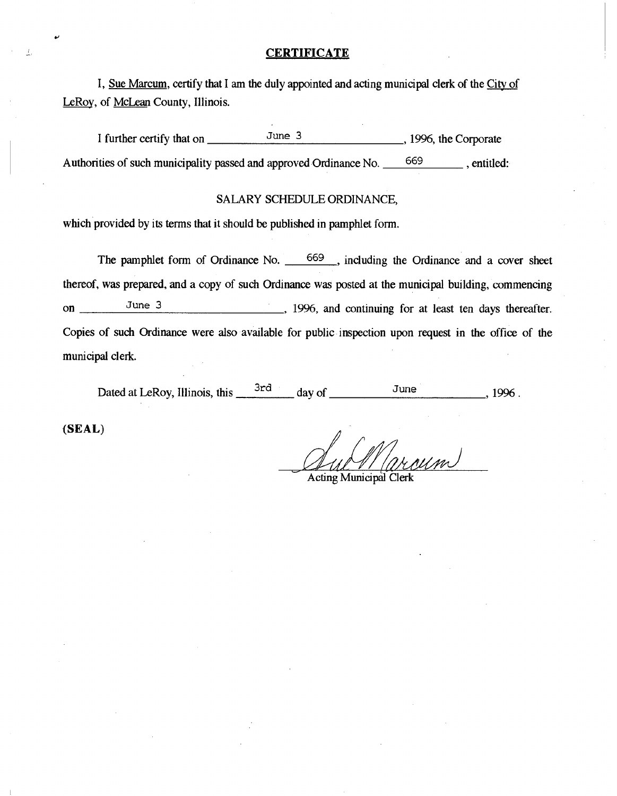# **CERTIFICATE**

I, Sue Marcum, certify that I am the duly appointed and acting municipal clerk of the City of LeRoy, of McLean County, Illinois.

I further certify that on  $\frac{June}{3}$ , 1996, the Corporate Authorities of such municipality passed and approved Ordinance No. 669 , entitled:

# SALARY SCHEDULE ORDINANCE,

which provided by its terms that it should be published in pamphlet form.

The pamphlet form of Ordinance No. 669, including the Ordinance and a cover sheet thereof, was prepared, and a copy of such Ordinance was posted at the municipal building, commencing on June 3 1996, and continuing for at least ten days thereafter. Copies of such Ordinance were also available for public inspection upon request in the office of the municipal clerk.

Dated at LeRoy, Illinois, this  $\frac{3rd}{dq}$  day of  $\frac{June}{d}$ , 1996.

(SEAL)

W

Auch (MWM)